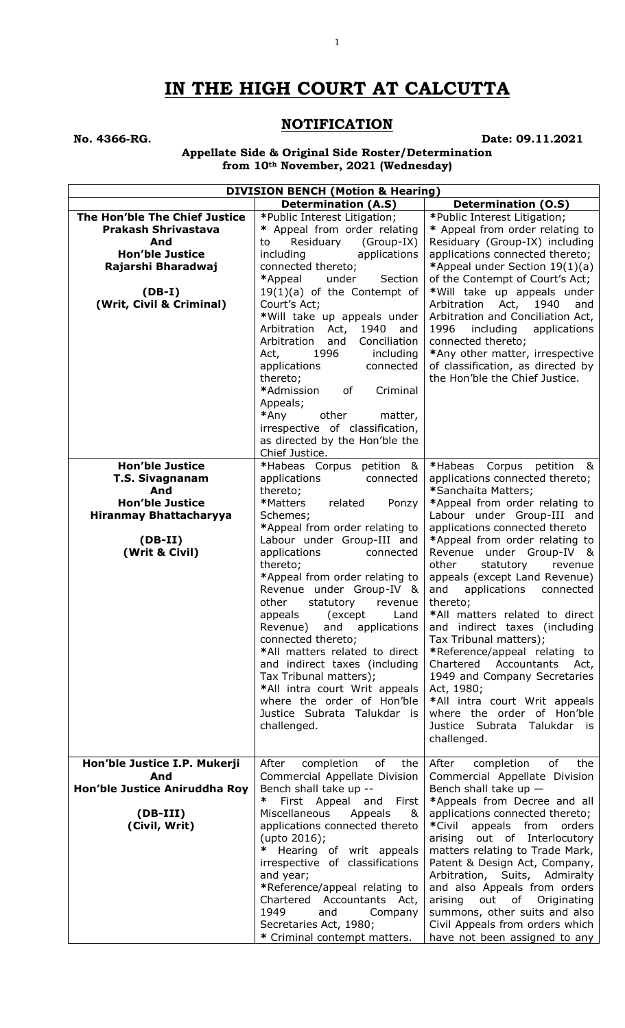# **IN THE HIGH COURT AT CALCUTTA**

1

# **NOTIFICATION**

**No. 4366-RG. Date: 09.11.2021**

**Appellate Side & Original Side Roster/Determination from 10th November, 2021 (Wednesday)**

| <b>DIVISION BENCH (Motion &amp; Hearing)</b> |                                                            |                                                                     |
|----------------------------------------------|------------------------------------------------------------|---------------------------------------------------------------------|
|                                              | <b>Determination (A.S)</b>                                 | <b>Determination (O.S)</b>                                          |
| The Hon'ble The Chief Justice                | *Public Interest Litigation;                               | *Public Interest Litigation;                                        |
| <b>Prakash Shrivastava</b>                   | * Appeal from order relating                               | * Appeal from order relating to                                     |
| And<br><b>Hon'ble Justice</b>                | Residuary<br>(Group-IX)<br>to<br>including<br>applications | Residuary (Group-IX) including<br>applications connected thereto;   |
| Rajarshi Bharadwaj                           | connected thereto;                                         | *Appeal under Section 19(1)(a)                                      |
|                                              | *Appeal<br>under<br>Section                                | of the Contempt of Court's Act;                                     |
| $(DB-I)$                                     | $19(1)(a)$ of the Contempt of                              | *Will take up appeals under                                         |
| (Writ, Civil & Criminal)                     | Court's Act;                                               | 1940<br>Arbitration<br>Act,<br>and                                  |
|                                              | *Will take up appeals under                                | Arbitration and Conciliation Act,                                   |
|                                              | Arbitration<br>1940<br>Act,<br>and                         | 1996<br>including<br>applications                                   |
|                                              | Arbitration<br>Conciliation<br>and                         | connected thereto;                                                  |
|                                              | including<br>Act,<br>1996                                  | *Any other matter, irrespective                                     |
|                                              | applications<br>connected<br>thereto;                      | of classification, as directed by<br>the Hon'ble the Chief Justice. |
|                                              | Criminal<br>*Admission<br>of                               |                                                                     |
|                                              | Appeals;                                                   |                                                                     |
|                                              | *Any<br>other<br>matter,                                   |                                                                     |
|                                              | irrespective of classification,                            |                                                                     |
|                                              | as directed by the Hon'ble the                             |                                                                     |
|                                              | Chief Justice.                                             |                                                                     |
| <b>Hon'ble Justice</b>                       | *Habeas Corpus petition &                                  | *Habeas<br>Corpus<br>petition &                                     |
| <b>T.S. Sivagnanam</b>                       | applications<br>connected                                  | applications connected thereto;                                     |
| And                                          | thereto;                                                   | *Sanchaita Matters;                                                 |
| <b>Hon'ble Justice</b>                       | *Matters<br>related<br>Ponzy                               | *Appeal from order relating to                                      |
| <b>Hiranmay Bhattacharyya</b>                | Schemes;<br>*Appeal from order relating to                 | Labour under Group-III and<br>applications connected thereto        |
| $(DB-II)$                                    | Labour under Group-III and                                 | *Appeal from order relating to                                      |
| (Writ & Civil)                               | applications<br>connected                                  | Revenue under Group-IV &                                            |
|                                              | thereto;                                                   | other<br>statutory<br>revenue                                       |
|                                              | *Appeal from order relating to                             | appeals (except Land Revenue)                                       |
|                                              | Revenue under Group-IV &                                   | and<br>applications<br>connected                                    |
|                                              | other<br>statutory<br>revenue                              | thereto;                                                            |
|                                              | appeals<br>(except<br>Land                                 | *All matters related to direct                                      |
|                                              | Revenue)<br>and<br>applications<br>connected thereto;      | and indirect taxes (including<br>Tax Tribunal matters);             |
|                                              | *All matters related to direct                             | *Reference/appeal relating to                                       |
|                                              | and indirect taxes (including                              | Chartered Accountants<br>Act,                                       |
|                                              | Tax Tribunal matters);                                     | 1949 and Company Secretaries                                        |
|                                              | *All intra court Writ appeals                              | Act, 1980;                                                          |
|                                              | where the order of Hon'ble                                 | *All intra court Writ appeals                                       |
|                                              | Justice Subrata Talukdar is                                | where the order of Hon'ble                                          |
|                                              | challenged.                                                | Justice Subrata Talukdar is                                         |
|                                              |                                                            | challenged.                                                         |
| Hon'ble Justice I.P. Mukerji                 | After<br>completion<br>of<br>the                           | of<br>After<br>completion<br>the                                    |
| And                                          | Commercial Appellate Division                              | Commercial Appellate Division                                       |
| Hon'ble Justice Aniruddha Roy                | Bench shall take up --                                     | Bench shall take up $-$                                             |
|                                              | ∗<br>First Appeal and First                                | *Appeals from Decree and all                                        |
| $(DB-III)$                                   | <b>Miscellaneous</b><br>Appeals<br>&                       | applications connected thereto;                                     |
| (Civil, Writ)                                | applications connected thereto                             | *Civil<br>appeals from<br>orders                                    |
|                                              | (upto 2016);                                               | arising out of Interlocutory                                        |
|                                              | Hearing of writ appeals                                    | matters relating to Trade Mark,                                     |
|                                              | irrespective of classifications                            | Patent & Design Act, Company,                                       |
|                                              | and year;<br>*Reference/appeal relating to                 | Arbitration, Suits, Admiralty<br>and also Appeals from orders       |
|                                              | Chartered<br>Accountants Act,                              | arising<br>out<br>of<br>Originating                                 |
|                                              | 1949<br>and<br>Company                                     | summons, other suits and also                                       |
|                                              | Secretaries Act, 1980;                                     | Civil Appeals from orders which                                     |
|                                              | * Criminal contempt matters.                               | have not been assigned to any                                       |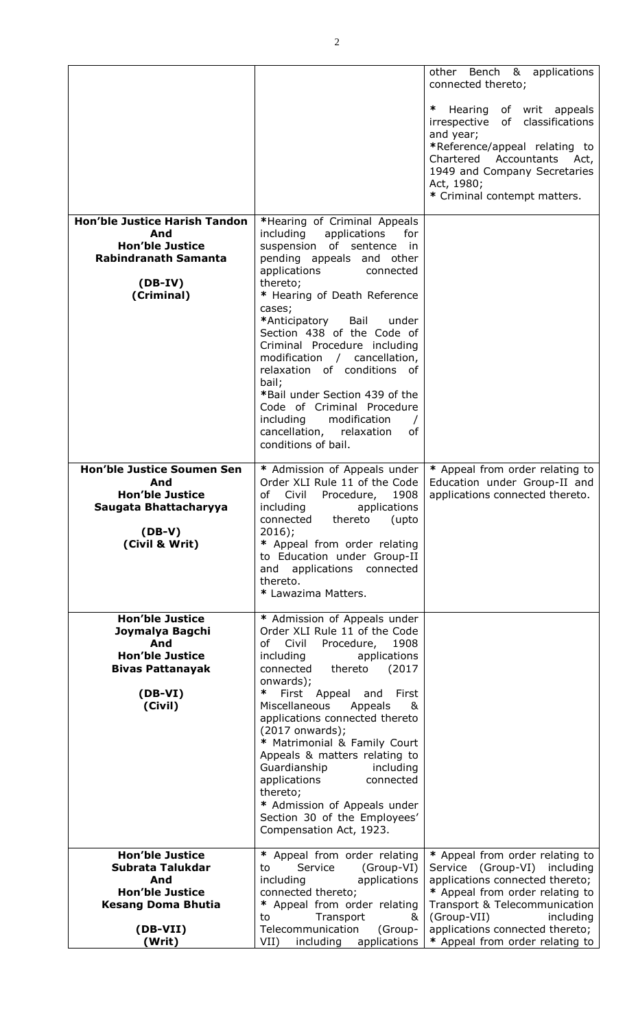|                                                                                                                                 |                                                                                                                                                                                                                                                                                                                                                                                                                                                                                                                                                         | other Bench & applications<br>connected thereto;                                                                                                                                                                                   |
|---------------------------------------------------------------------------------------------------------------------------------|---------------------------------------------------------------------------------------------------------------------------------------------------------------------------------------------------------------------------------------------------------------------------------------------------------------------------------------------------------------------------------------------------------------------------------------------------------------------------------------------------------------------------------------------------------|------------------------------------------------------------------------------------------------------------------------------------------------------------------------------------------------------------------------------------|
|                                                                                                                                 |                                                                                                                                                                                                                                                                                                                                                                                                                                                                                                                                                         | ∗<br>Hearing<br>of writ appeals<br>irrespective of classifications<br>and year;<br>*Reference/appeal relating to<br>Chartered<br>Accountants<br>Act,<br>1949 and Company Secretaries<br>Act, 1980;<br>* Criminal contempt matters. |
| <b>Hon'ble Justice Harish Tandon</b><br>And<br><b>Hon'ble Justice</b><br><b>Rabindranath Samanta</b><br>$(DB-IV)$<br>(Criminal) | *Hearing of Criminal Appeals<br>including<br>applications<br>for<br>suspension of sentence in<br>pending appeals and other<br>applications<br>connected<br>thereto;<br>* Hearing of Death Reference<br>cases;<br>*Anticipatory<br>Bail<br>under<br>Section 438 of the Code of<br>Criminal Procedure including<br>modification / cancellation,<br>relaxation of conditions of<br>bail;<br>*Bail under Section 439 of the<br>Code of Criminal Procedure<br>modification<br>including<br>$\prime$<br>cancellation, relaxation<br>of<br>conditions of bail. |                                                                                                                                                                                                                                    |
| <b>Hon'ble Justice Soumen Sen</b><br>And<br><b>Hon'ble Justice</b><br>Saugata Bhattacharyya<br>$(DB-V)$<br>(Civil & Writ)       | * Admission of Appeals under<br>Order XLI Rule 11 of the Code<br>of<br>Civil<br>Procedure,<br>1908<br>including<br>applications<br>connected thereto<br>(upto<br>$2016$ ;<br>* Appeal from order relating<br>to Education under Group-II<br>applications<br>connected<br>and<br>thereto.<br>* Lawazima Matters.                                                                                                                                                                                                                                         | * Appeal from order relating to<br>Education under Group-II and<br>applications connected thereto.                                                                                                                                 |
| <b>Hon'ble Justice</b><br>Joymalya Bagchi<br>And<br><b>Hon'ble Justice</b><br><b>Bivas Pattanayak</b><br>$(DB-VI)$<br>(Civil)   | * Admission of Appeals under<br>Order XLI Rule 11 of the Code<br>of Civil<br>1908<br>Procedure,<br>including<br>applications<br>thereto<br>connected<br>(2017)<br>onwards);<br>∗<br>First Appeal<br>First<br>and<br>Miscellaneous<br>Appeals<br>&<br>applications connected thereto<br>$(2017$ onwards);<br>* Matrimonial & Family Court<br>Appeals & matters relating to<br>Guardianship<br>including<br>applications<br>connected<br>thereto;<br>* Admission of Appeals under<br>Section 30 of the Employees'<br>Compensation Act, 1923.              |                                                                                                                                                                                                                                    |
| <b>Hon'ble Justice</b><br>Subrata Talukdar<br>And<br><b>Hon'ble Justice</b>                                                     | * Appeal from order relating<br>Service<br>(Group-VI)<br>to<br>including<br>applications<br>connected thereto;                                                                                                                                                                                                                                                                                                                                                                                                                                          | * Appeal from order relating to<br>Service (Group-VI) including<br>applications connected thereto;<br>* Appeal from order relating to                                                                                              |
| <b>Kesang Doma Bhutia</b><br>$(DB-VII)$<br>(Writ)                                                                               | * Appeal from order relating<br>Transport<br>to<br>&<br>Telecommunication<br>(Group-<br>including<br>applications<br>VII)                                                                                                                                                                                                                                                                                                                                                                                                                               | Transport & Telecommunication<br>(Group-VII)<br>including<br>applications connected thereto;<br>* Appeal from order relating to                                                                                                    |
|                                                                                                                                 |                                                                                                                                                                                                                                                                                                                                                                                                                                                                                                                                                         |                                                                                                                                                                                                                                    |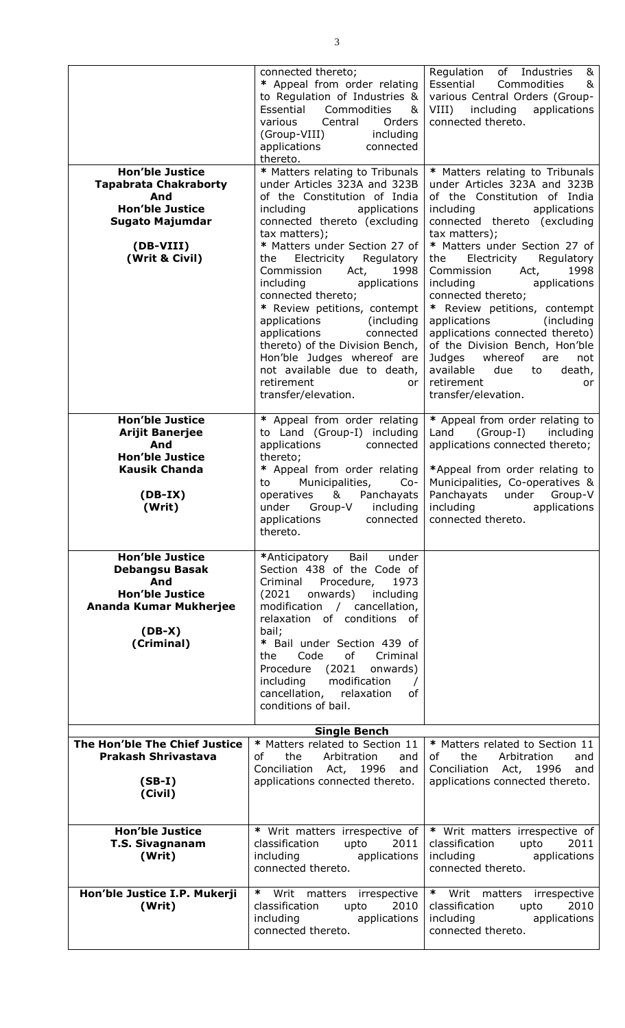|                                                                                                                                                  | connected thereto;<br>* Appeal from order relating<br>to Regulation of Industries &<br>Essential<br>Commodities<br>&<br>Central<br>various<br>Orders<br>(Group-VIII)<br>including<br>applications<br>connected                                                                                                                                                                                                                                                                                                                                                                         | Regulation of Industries<br>&<br>Essential<br>Commodities<br>&<br>various Central Orders (Group-<br>VIII)<br>including<br>applications<br>connected thereto.                                                                                                                                                                                                                                                                                                                                                                                                                              |
|--------------------------------------------------------------------------------------------------------------------------------------------------|----------------------------------------------------------------------------------------------------------------------------------------------------------------------------------------------------------------------------------------------------------------------------------------------------------------------------------------------------------------------------------------------------------------------------------------------------------------------------------------------------------------------------------------------------------------------------------------|-------------------------------------------------------------------------------------------------------------------------------------------------------------------------------------------------------------------------------------------------------------------------------------------------------------------------------------------------------------------------------------------------------------------------------------------------------------------------------------------------------------------------------------------------------------------------------------------|
| <b>Hon'ble Justice</b><br><b>Tapabrata Chakraborty</b><br>And<br><b>Hon'ble Justice</b><br><b>Sugato Majumdar</b><br>(DB-VIII)<br>(Writ & Civil) | thereto.<br>* Matters relating to Tribunals<br>under Articles 323A and 323B<br>of the Constitution of India<br>applications<br>including<br>connected thereto (excluding<br>tax matters);<br>* Matters under Section 27 of<br>Regulatory<br>Electricity<br>the<br>Commission<br>1998<br>Act,<br>including<br>applications<br>connected thereto;<br>* Review petitions, contempt<br>(including)<br>applications<br>connected<br>applications<br>thereto) of the Division Bench,<br>Hon'ble Judges whereof are<br>not available due to death,<br>retirement<br>or<br>transfer/elevation. | * Matters relating to Tribunals<br>under Articles 323A and 323B<br>of the Constitution of India<br>including<br>applications<br>connected thereto (excluding<br>tax matters);<br>* Matters under Section 27 of<br>Electricity<br>Regulatory<br>the<br>Commission<br>1998<br>Act,<br>including<br>applications<br>connected thereto;<br>* Review petitions, contempt<br>applications<br>(including)<br>applications connected thereto)<br>of the Division Bench, Hon'ble<br>Judges<br>whereof<br>are<br>not<br>available<br>due<br>to<br>death,<br>retirement<br>or<br>transfer/elevation. |
| <b>Hon'ble Justice</b><br><b>Arijit Banerjee</b><br>And<br><b>Hon'ble Justice</b><br><b>Kausik Chanda</b><br>$(DB-IX)$<br>(Writ)                 | * Appeal from order relating<br>to Land (Group-I) including<br>applications<br>connected<br>thereto;<br>* Appeal from order relating<br>Municipalities,<br>$Co-$<br>to<br>&<br>Panchayats<br>operatives<br>under Group-V<br>including<br>applications<br>connected<br>thereto.                                                                                                                                                                                                                                                                                                         | * Appeal from order relating to<br>(Group-I)<br>Land<br>including<br>applications connected thereto;<br>*Appeal from order relating to<br>Municipalities, Co-operatives &<br>Panchayats<br>under<br>Group-V<br>including<br>applications<br>connected thereto.                                                                                                                                                                                                                                                                                                                            |
| <b>Hon'ble Justice</b><br><b>Debangsu Basak</b><br>And<br><b>Hon'ble Justice</b><br>Ananda Kumar Mukherjee<br>$(DB-X)$<br>(Criminal)             | Bail<br>*Anticipatory<br>under<br>Section 438 of the Code of<br>Procedure,<br>Criminal<br>1973<br>(2021)<br>onwards)<br>including<br>modification / cancellation,<br>relaxation of conditions of<br>bail;<br>* Bail under Section 439 of<br>Code<br>of<br>Criminal<br>the<br>(2021)<br>Procedure<br>onwards)<br>modification<br>including<br>$\prime$<br>cancellation, relaxation<br>оf<br>conditions of bail.                                                                                                                                                                         |                                                                                                                                                                                                                                                                                                                                                                                                                                                                                                                                                                                           |
| <b>Single Bench</b>                                                                                                                              |                                                                                                                                                                                                                                                                                                                                                                                                                                                                                                                                                                                        |                                                                                                                                                                                                                                                                                                                                                                                                                                                                                                                                                                                           |
| The Hon'ble The Chief Justice<br><b>Prakash Shrivastava</b><br>$(SB-I)$<br>(Civil)                                                               | * Matters related to Section 11<br>of<br>the<br>Arbitration<br>and<br>Conciliation Act, 1996<br>and<br>applications connected thereto.                                                                                                                                                                                                                                                                                                                                                                                                                                                 | * Matters related to Section 11<br>of<br>the<br>Arbitration<br>and<br>Conciliation Act, 1996<br>and<br>applications connected thereto.                                                                                                                                                                                                                                                                                                                                                                                                                                                    |
| <b>Hon'ble Justice</b><br><b>T.S. Sivagnanam</b><br>(Writ)                                                                                       | * Writ matters irrespective of<br>classification<br>upto<br>2011<br>including<br>applications<br>connected thereto.                                                                                                                                                                                                                                                                                                                                                                                                                                                                    | * Writ matters irrespective of<br>upto<br>classification<br>2011<br>applications<br>including<br>connected thereto.                                                                                                                                                                                                                                                                                                                                                                                                                                                                       |
| Hon'ble Justice I.P. Mukerji<br>(Writ)                                                                                                           | * Writ matters irrespective<br>classification<br>2010<br>upto<br>including<br>applications<br>connected thereto.                                                                                                                                                                                                                                                                                                                                                                                                                                                                       | $\ast$<br>Writ matters<br>irrespective<br>classification<br>2010<br>upto<br>including<br>applications<br>connected thereto.                                                                                                                                                                                                                                                                                                                                                                                                                                                               |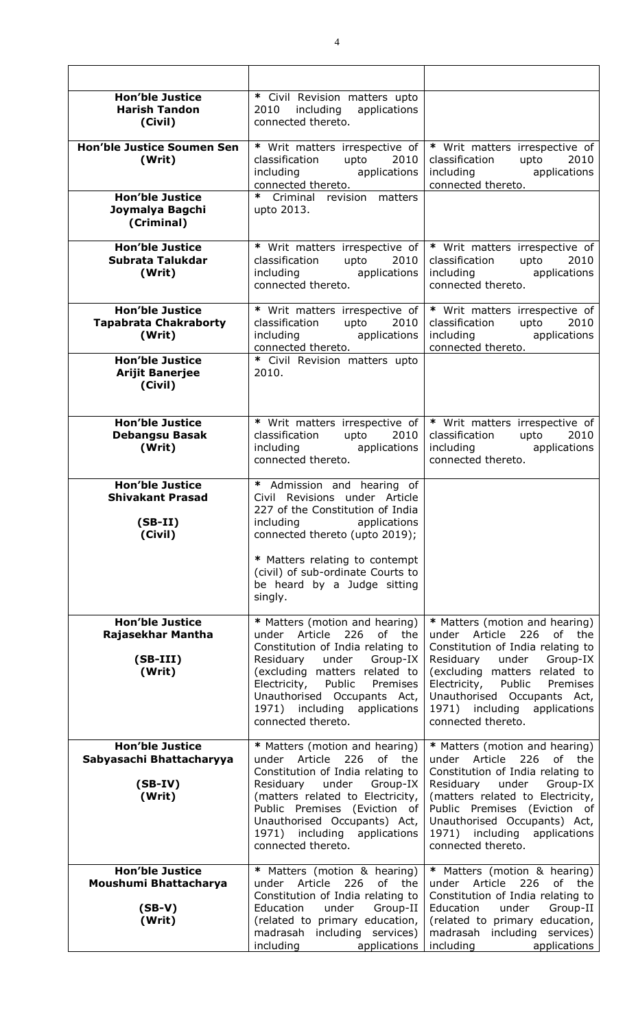| <b>Hon'ble Justice</b><br><b>Harish Tandon</b><br>(Civil)                 | * Civil Revision matters upto<br>applications<br>including<br>2010<br>connected thereto.                                                                                                                                                                                                          |                                                                                                                                                                                                                                                                                                      |
|---------------------------------------------------------------------------|---------------------------------------------------------------------------------------------------------------------------------------------------------------------------------------------------------------------------------------------------------------------------------------------------|------------------------------------------------------------------------------------------------------------------------------------------------------------------------------------------------------------------------------------------------------------------------------------------------------|
| <b>Hon'ble Justice Soumen Sen</b><br>(Writ)                               | * Writ matters irrespective of<br>classification<br>upto<br>2010<br>applications<br>including<br>connected thereto.                                                                                                                                                                               | * Writ matters irrespective of<br>classification upto<br>2010<br>including applications<br>connected thereto.                                                                                                                                                                                        |
| <b>Hon'ble Justice</b><br>Joymalya Bagchi<br>(Criminal)                   | * Criminal revision matters<br>upto 2013.                                                                                                                                                                                                                                                         |                                                                                                                                                                                                                                                                                                      |
| <b>Hon'ble Justice</b><br>Subrata Talukdar<br>(Writ)                      | * Writ matters irrespective of<br>classification<br>upto<br>2010<br>including applications<br>connected thereto.                                                                                                                                                                                  | * Writ matters irrespective of<br>classification<br>upto<br>2010<br>including applications<br>connected thereto.                                                                                                                                                                                     |
| <b>Hon'ble Justice</b><br><b>Tapabrata Chakraborty</b><br>(Writ)          | * Writ matters irrespective of<br>classification<br>upto $2010$<br>including applications<br>connected thereto.                                                                                                                                                                                   | * Writ matters irrespective of<br>classification upto<br>2010<br>including applications<br>connected thereto.                                                                                                                                                                                        |
| <b>Hon'ble Justice</b><br><b>Arijit Banerjee</b><br>(Civil)               | * Civil Revision matters upto<br>2010.                                                                                                                                                                                                                                                            |                                                                                                                                                                                                                                                                                                      |
| <b>Hon'ble Justice</b><br><b>Debangsu Basak</b><br>(Writ)                 | * Writ matters irrespective of<br>classification<br>2010<br>upto<br>including applications<br>connected thereto.                                                                                                                                                                                  | * Writ matters irrespective of<br>2010<br>classification<br>upto<br>including applications<br>connected thereto.                                                                                                                                                                                     |
| <b>Hon'ble Justice</b><br><b>Shivakant Prasad</b><br>$(SB-II)$<br>(Civil) | * Admission and hearing of<br>Civil Revisions under Article<br>227 of the Constitution of India<br>including applications<br>connected thereto (upto 2019);                                                                                                                                       |                                                                                                                                                                                                                                                                                                      |
|                                                                           | * Matters relating to contempt<br>(civil) of sub-ordinate Courts to<br>be heard by a Judge sitting<br>singly.                                                                                                                                                                                     |                                                                                                                                                                                                                                                                                                      |
| <b>Hon'ble Justice</b><br>Rajasekhar Mantha<br>$(SB-III)$<br>(Writ)       | * Matters (motion and hearing)<br>under Article<br>226 of the<br>Constitution of India relating to<br>under<br>Residuary<br>Group-IX<br>(excluding matters related to<br>Electricity,<br>Public<br>Premises<br>Unauthorised Occupants Act,<br>1971) including applications<br>connected thereto.  | * Matters (motion and hearing)<br>under Article<br>226 of the<br>Constitution of India relating to<br>Residuary<br>under<br>Group-IX<br>(excluding matters related to<br>Electricity,<br>Public<br>Premises<br>Unauthorised Occupants Act,<br>1971) including<br>applications<br>connected thereto.  |
| <b>Hon'ble Justice</b><br>Sabyasachi Bhattacharyya<br>$(SB-IV)$<br>(Writ) | * Matters (motion and hearing)<br>under Article<br>226<br>of the<br>Constitution of India relating to<br>Residuary<br>under<br>Group-IX<br>(matters related to Electricity,<br>Public Premises (Eviction of<br>Unauthorised Occupants) Act,<br>1971) including applications<br>connected thereto. | * Matters (motion and hearing)<br>226<br>under Article<br>of<br>the<br>Constitution of India relating to<br>Residuary<br>under<br>Group-IX<br>(matters related to Electricity,<br>Public Premises (Eviction of<br>Unauthorised Occupants) Act,<br>1971) including applications<br>connected thereto. |
| <b>Hon'ble Justice</b><br>Moushumi Bhattacharya<br>$(SB-V)$<br>(Writ)     | * Matters (motion & hearing)<br>under Article 226 of the<br>Constitution of India relating to<br>Education<br>under<br>Group-II<br>(related to primary education,<br>madrasah including services)<br>including<br>applications                                                                    | * Matters (motion & hearing)<br>under Article 226 of the<br>Constitution of India relating to<br>Education<br>under<br>Group-II<br>(related to primary education,<br>madrasah including services)<br>including<br>applications                                                                       |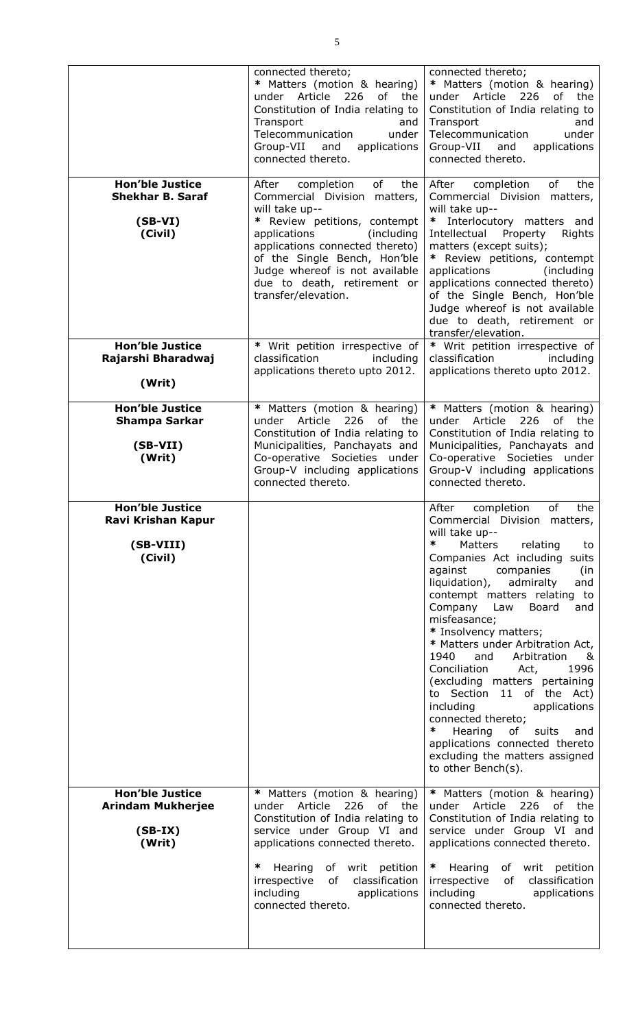|                                                                                                     | connected thereto;<br>* Matters (motion & hearing)<br>under Article<br>226<br>of the<br>Constitution of India relating to<br>Transport<br>and<br>Telecommunication<br>under<br>Group-VII and<br>applications<br>connected thereto.                                                                          | connected thereto;<br>* Matters (motion & hearing)<br>under Article<br>226<br>of the<br>Constitution of India relating to<br>Transport<br>and<br>Telecommunication<br>under<br>Group-VII<br>and<br>applications<br>connected thereto.                                                                                                                                                                                                                                                                                                                                                                                                                                                             |
|-----------------------------------------------------------------------------------------------------|-------------------------------------------------------------------------------------------------------------------------------------------------------------------------------------------------------------------------------------------------------------------------------------------------------------|---------------------------------------------------------------------------------------------------------------------------------------------------------------------------------------------------------------------------------------------------------------------------------------------------------------------------------------------------------------------------------------------------------------------------------------------------------------------------------------------------------------------------------------------------------------------------------------------------------------------------------------------------------------------------------------------------|
| <b>Hon'ble Justice</b><br><b>Shekhar B. Saraf</b><br>$(SB-VI)$<br>(Civil)<br><b>Hon'ble Justice</b> | of<br>After<br>completion<br>the<br>Commercial Division matters,<br>will take up--<br>* Review petitions, contempt<br>applications<br>(including<br>applications connected thereto)<br>of the Single Bench, Hon'ble<br>Judge whereof is not available<br>due to death, retirement or<br>transfer/elevation. | completion<br>of<br>the<br>After<br>Commercial Division matters,<br>will take up--<br>Interlocutory matters and<br>Intellectual<br>Property<br>Rights<br>matters (except suits);<br>* Review petitions, contempt<br>applications<br>(including)<br>applications connected thereto)<br>of the Single Bench, Hon'ble<br>Judge whereof is not available<br>due to death, retirement or<br>transfer/elevation.                                                                                                                                                                                                                                                                                        |
| Rajarshi Bharadwaj<br>(Writ)                                                                        | * Writ petition irrespective of<br>classification<br>including<br>applications thereto upto 2012.                                                                                                                                                                                                           | * Writ petition irrespective of<br>classification<br>including<br>applications thereto upto 2012.                                                                                                                                                                                                                                                                                                                                                                                                                                                                                                                                                                                                 |
| <b>Hon'ble Justice</b><br><b>Shampa Sarkar</b><br>$(SB-VII)$<br>(Writ)                              | * Matters (motion & hearing)<br>under Article 226<br>of the<br>Constitution of India relating to<br>Municipalities, Panchayats and<br>Co-operative Societies under<br>Group-V including applications<br>connected thereto.                                                                                  | * Matters (motion & hearing)<br>under Article<br>226<br>of the<br>Constitution of India relating to<br>Municipalities, Panchayats and<br>Co-operative Societies under<br>Group-V including applications<br>connected thereto.                                                                                                                                                                                                                                                                                                                                                                                                                                                                     |
| <b>Hon'ble Justice</b><br>Ravi Krishan Kapur<br>(SB-VIII)<br>(Civil)                                |                                                                                                                                                                                                                                                                                                             | After<br>of<br>the<br>completion<br>Commercial Division matters,<br>will take up--<br>∗<br>Matters<br>relating<br>to<br>Companies Act including suits<br>against<br>companies<br>(in<br>liquidation),<br>admiralty<br>and<br>contempt matters relating to<br>Company<br>Law<br>Board<br>and<br>misfeasance;<br>* Insolvency matters;<br>* Matters under Arbitration Act,<br>1940<br>and<br>Arbitration<br>&<br>1996<br>Conciliation<br>Act,<br>(excluding matters pertaining<br>to Section 11 of the Act)<br>including<br>applications<br>connected thereto;<br>$\ast$<br>Hearing<br>of<br>suits<br>and<br>applications connected thereto<br>excluding the matters assigned<br>to other Bench(s). |
| <b>Hon'ble Justice</b><br><b>Arindam Mukherjee</b><br>$(SB-IX)$<br>(Writ)                           | * Matters (motion & hearing)<br>under Article 226<br>of the<br>Constitution of India relating to<br>service under Group VI and<br>applications connected thereto.                                                                                                                                           | * Matters (motion & hearing)<br>under Article 226<br>of the<br>Constitution of India relating to<br>service under Group VI and<br>applications connected thereto.                                                                                                                                                                                                                                                                                                                                                                                                                                                                                                                                 |
|                                                                                                     | ∗<br>Hearing<br>of writ petition<br>irrespective<br>of<br>classification<br>including<br>applications<br>connected thereto.                                                                                                                                                                                 | Hearing<br>of writ petition<br>$\ast$<br>irrespective<br>of classification<br>including<br>applications<br>connected thereto.                                                                                                                                                                                                                                                                                                                                                                                                                                                                                                                                                                     |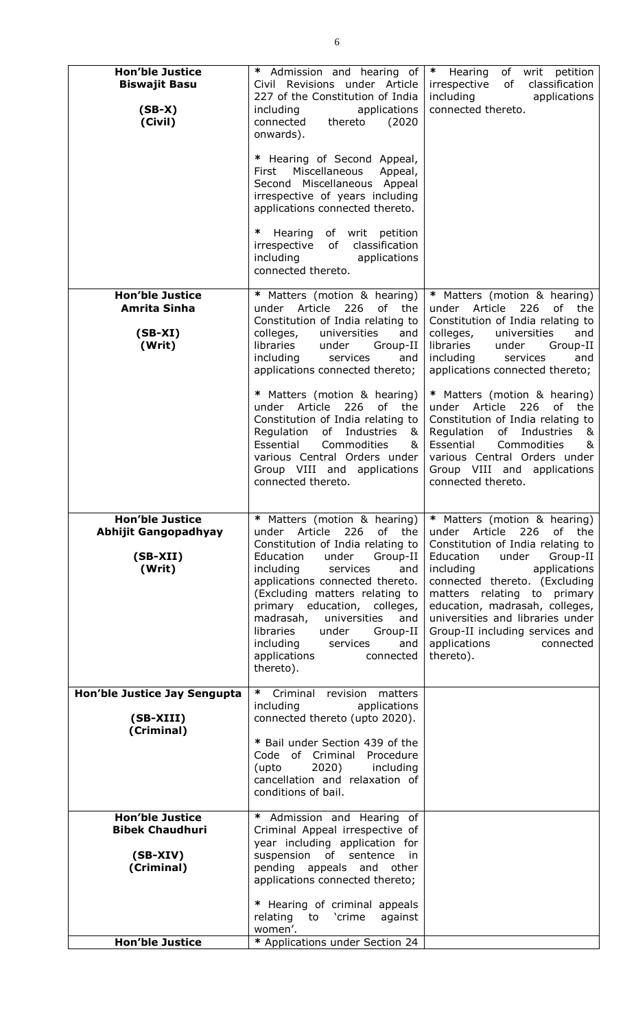| <b>Hon'ble Justice</b><br><b>Biswajit Basu</b>                                | * Admission and hearing of<br>Civil Revisions under Article<br>227 of the Constitution of India                                                                                                                                                                                                                                                                                               | * Hearing of writ petition<br>irrespective<br>of<br>classification<br>including<br>applications                                                                                                                                                                                                                                                                                                                         |
|-------------------------------------------------------------------------------|-----------------------------------------------------------------------------------------------------------------------------------------------------------------------------------------------------------------------------------------------------------------------------------------------------------------------------------------------------------------------------------------------|-------------------------------------------------------------------------------------------------------------------------------------------------------------------------------------------------------------------------------------------------------------------------------------------------------------------------------------------------------------------------------------------------------------------------|
| $(SB-X)$<br>(Civil)                                                           | applications<br>including<br>thereto<br>connected<br>(2020)<br>onwards).                                                                                                                                                                                                                                                                                                                      | connected thereto.                                                                                                                                                                                                                                                                                                                                                                                                      |
|                                                                               | * Hearing of Second Appeal,<br>Miscellaneous<br>Appeal,<br>First<br>Second Miscellaneous Appeal<br>irrespective of years including<br>applications connected thereto.                                                                                                                                                                                                                         |                                                                                                                                                                                                                                                                                                                                                                                                                         |
|                                                                               | ∗<br>Hearing of writ petition<br>irrespective of<br>classification<br>including<br>applications<br>connected thereto.                                                                                                                                                                                                                                                                         |                                                                                                                                                                                                                                                                                                                                                                                                                         |
| <b>Hon'ble Justice</b><br><b>Amrita Sinha</b><br>$(SB-XI)$<br>(Writ)          | * Matters (motion & hearing)<br>Article<br>226<br>of the<br>under<br>Constitution of India relating to<br>colleges,<br>universities<br>and<br>libraries<br>under<br>Group-II<br>including<br>services<br>and<br>applications connected thereto;                                                                                                                                               | * Matters (motion & hearing)<br>under Article<br>226<br>of<br>the<br>Constitution of India relating to<br>colleges,<br>universities<br>and<br>libraries<br>under<br>Group-II<br>and<br>including<br>services<br>applications connected thereto;                                                                                                                                                                         |
|                                                                               | * Matters (motion & hearing)<br>under Article 226 of the<br>Constitution of India relating to<br>Regulation of Industries<br>&<br>Essential<br>Commodities<br>&<br>various Central Orders under<br>Group VIII and applications<br>connected thereto.                                                                                                                                          | * Matters (motion & hearing)<br>under Article 226<br>of the<br>Constitution of India relating to<br>Regulation of Industries<br>8 <sub>k</sub><br>Essential<br>Commodities<br>&<br>various Central Orders under<br>Group VIII and applications<br>connected thereto.                                                                                                                                                    |
| <b>Hon'ble Justice</b><br><b>Abhijit Gangopadhyay</b><br>$(SB-XII)$<br>(Writ) | 226<br>Article<br>of the<br>under<br>Constitution of India relating to<br>Education<br>under<br>Group-II<br>including<br>services<br>and<br>applications connected thereto.<br>(Excluding matters relating to<br>primary education, colleges,<br>madrasah,<br>universities<br>and<br>libraries<br>under<br>Group-II<br>including<br>services<br>and<br>applications<br>connected<br>thereto). | * Matters (motion & hearing)   * Matters (motion & hearing)<br>226<br>under Article<br>of<br>the<br>Constitution of India relating to<br>Education<br>under<br>Group-II<br>including<br>applications<br>connected thereto. (Excluding<br>matters relating to primary<br>education, madrasah, colleges,<br>universities and libraries under<br>Group-II including services and<br>applications<br>connected<br>thereto). |
| Hon'ble Justice Jay Sengupta<br>(SB-XIII)<br>(Criminal)                       | ∗<br>Criminal revision<br>matters<br>including<br>applications<br>connected thereto (upto 2020).                                                                                                                                                                                                                                                                                              |                                                                                                                                                                                                                                                                                                                                                                                                                         |
|                                                                               | * Bail under Section 439 of the<br>Code of Criminal Procedure<br>2020)<br>including<br>(upto<br>cancellation and relaxation of<br>conditions of bail.                                                                                                                                                                                                                                         |                                                                                                                                                                                                                                                                                                                                                                                                                         |
| <b>Hon'ble Justice</b><br><b>Bibek Chaudhuri</b><br>$(SB-XIV)$<br>(Criminal)  | * Admission and Hearing of<br>Criminal Appeal irrespective of<br>year including application for<br>suspension of sentence<br>in<br>pending appeals and other<br>applications connected thereto;                                                                                                                                                                                               |                                                                                                                                                                                                                                                                                                                                                                                                                         |
|                                                                               | * Hearing of criminal appeals<br>relating<br>to 'crime<br>against<br>women'.                                                                                                                                                                                                                                                                                                                  |                                                                                                                                                                                                                                                                                                                                                                                                                         |
| <b>Hon'ble Justice</b>                                                        | * Applications under Section 24                                                                                                                                                                                                                                                                                                                                                               |                                                                                                                                                                                                                                                                                                                                                                                                                         |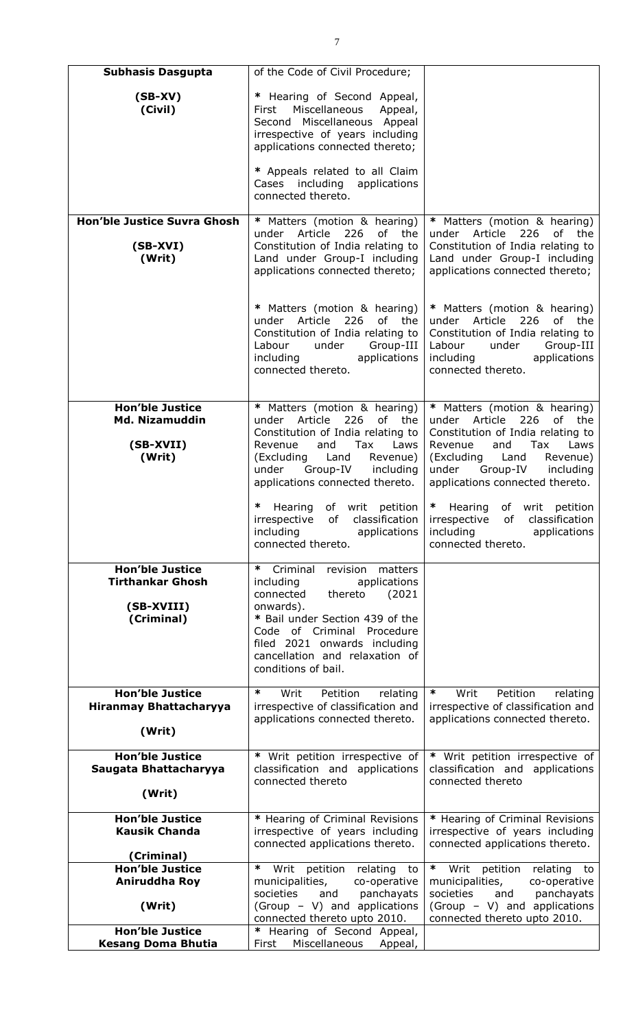| <b>Subhasis Dasgupta</b>                                               | of the Code of Civil Procedure;                                                                                                                                                                                                       |                                                                                                                                                                                                                                    |
|------------------------------------------------------------------------|---------------------------------------------------------------------------------------------------------------------------------------------------------------------------------------------------------------------------------------|------------------------------------------------------------------------------------------------------------------------------------------------------------------------------------------------------------------------------------|
| $(SB-XV)$<br>(Civil)                                                   | * Hearing of Second Appeal,<br>Miscellaneous<br>First<br>Appeal,<br>Second Miscellaneous Appeal<br>irrespective of years including<br>applications connected thereto;                                                                 |                                                                                                                                                                                                                                    |
|                                                                        | * Appeals related to all Claim<br>Cases including applications<br>connected thereto.                                                                                                                                                  |                                                                                                                                                                                                                                    |
| Hon'ble Justice Suvra Ghosh                                            | * Matters (motion & hearing)                                                                                                                                                                                                          | * Matters (motion & hearing)                                                                                                                                                                                                       |
| $(SB-XVI)$<br>(Writ)                                                   | under Article<br>226<br>of the<br>Constitution of India relating to<br>Land under Group-I including<br>applications connected thereto;                                                                                                | under Article<br>226<br>of the<br>Constitution of India relating to<br>Land under Group-I including<br>applications connected thereto;                                                                                             |
|                                                                        | * Matters (motion & hearing)<br>under Article<br>226<br>of the<br>Constitution of India relating to<br>Labour<br>Group-III<br>under<br>including applications<br>connected thereto.                                                   | * Matters (motion & hearing)<br>under Article<br>226<br>of the<br>Constitution of India relating to<br>Labour<br>under<br>Group-III<br>including<br>applications<br>connected thereto.                                             |
| <b>Hon'ble Justice</b><br><b>Md. Nizamuddin</b><br>(SB-XVII)<br>(Writ) | * Matters (motion & hearing)<br>under Article<br>226<br>of<br>the<br>Constitution of India relating to<br>and<br>Revenue<br>Tax<br>Laws<br>(Excluding Land<br>Revenue)<br>under Group-IV including<br>applications connected thereto. | * Matters (motion & hearing)<br>under Article<br>226<br>of the<br>Constitution of India relating to<br>Revenue<br>and<br>Tax<br>Laws<br>(Excluding Land<br>Revenue)<br>under Group-IV including<br>applications connected thereto. |
|                                                                        | Hearing of writ petition<br>irrespective of classification<br>applications<br>including<br>connected thereto.                                                                                                                         | $\ast$<br>Hearing of writ petition<br>irrespective of classification<br>including<br>applications<br>connected thereto.                                                                                                            |
| <b>Hon'ble Justice</b><br><b>Tirthankar Ghosh</b>                      | ∗<br>Criminal<br>revision<br>matters<br>applications<br>including                                                                                                                                                                     |                                                                                                                                                                                                                                    |
|                                                                        | thereto<br>(2021)<br>connected                                                                                                                                                                                                        |                                                                                                                                                                                                                                    |
| (SB-XVIII)<br>(Criminal)                                               | onwards).<br>* Bail under Section 439 of the                                                                                                                                                                                          |                                                                                                                                                                                                                                    |
|                                                                        | Code of Criminal Procedure<br>filed 2021 onwards including<br>cancellation and relaxation of<br>conditions of bail.                                                                                                                   |                                                                                                                                                                                                                                    |
| <b>Hon'ble Justice</b>                                                 | ∗<br>Writ<br>Petition<br>relating                                                                                                                                                                                                     | ∗<br>Petition<br>Writ<br>relating                                                                                                                                                                                                  |
| Hiranmay Bhattacharyya<br>(Writ)                                       | irrespective of classification and<br>applications connected thereto.                                                                                                                                                                 | irrespective of classification and<br>applications connected thereto.                                                                                                                                                              |
| <b>Hon'ble Justice</b><br>Saugata Bhattacharyya                        | * Writ petition irrespective of<br>classification and applications                                                                                                                                                                    | * Writ petition irrespective of<br>classification and applications                                                                                                                                                                 |
|                                                                        | connected thereto                                                                                                                                                                                                                     | connected thereto                                                                                                                                                                                                                  |
| (Writ)                                                                 |                                                                                                                                                                                                                                       |                                                                                                                                                                                                                                    |
| <b>Hon'ble Justice</b><br><b>Kausik Chanda</b>                         | * Hearing of Criminal Revisions<br>irrespective of years including<br>connected applications thereto.                                                                                                                                 | * Hearing of Criminal Revisions<br>irrespective of years including<br>connected applications thereto.                                                                                                                              |
| (Criminal)<br><b>Hon'ble Justice</b>                                   | Writ petition<br>∗<br>relating to                                                                                                                                                                                                     | * Writ petition<br>relating to                                                                                                                                                                                                     |
| Aniruddha Roy                                                          | municipalities,<br>co-operative<br>societies<br>and<br>panchayats                                                                                                                                                                     | municipalities,<br>co-operative<br>societies<br>and<br>panchayats                                                                                                                                                                  |
| (Writ)                                                                 | (Group - V) and applications<br>connected thereto upto 2010.                                                                                                                                                                          | (Group - V) and applications<br>connected thereto upto 2010.                                                                                                                                                                       |
| <b>Hon'ble Justice</b><br><b>Kesang Doma Bhutia</b>                    | * Hearing of Second Appeal,<br>Miscellaneous<br>First<br>Appeal,                                                                                                                                                                      |                                                                                                                                                                                                                                    |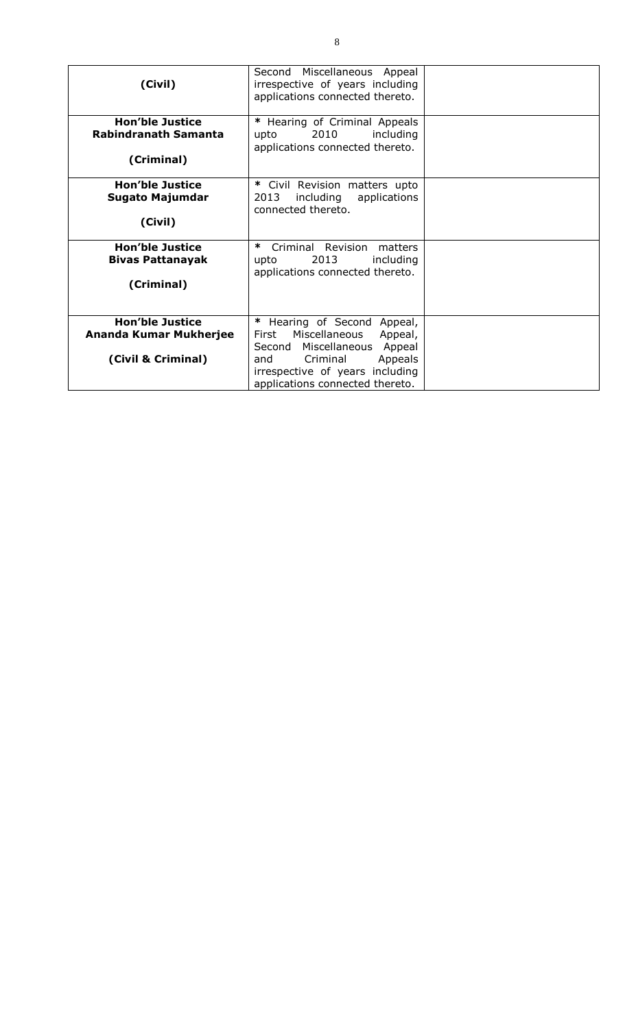| (Civil)                                                                | Second Miscellaneous Appeal<br>irrespective of years including<br>applications connected thereto.                                                                                                       |  |
|------------------------------------------------------------------------|---------------------------------------------------------------------------------------------------------------------------------------------------------------------------------------------------------|--|
| <b>Hon'ble Justice</b><br><b>Rabindranath Samanta</b><br>(Criminal)    | * Hearing of Criminal Appeals<br>2010<br>including<br>upto<br>applications connected thereto.                                                                                                           |  |
| <b>Hon'ble Justice</b><br><b>Sugato Majumdar</b><br>(Civil)            | * Civil Revision matters upto<br>2013<br>including<br>applications<br>connected thereto.                                                                                                                |  |
| <b>Hon'ble Justice</b><br><b>Bivas Pattanayak</b><br>(Criminal)        | ∗<br>Criminal Revision<br>matters<br>2013<br>including<br>upto<br>applications connected thereto.                                                                                                       |  |
| <b>Hon'ble Justice</b><br>Ananda Kumar Mukherjee<br>(Civil & Criminal) | Hearing of Second<br>Appeal,<br>Miscellaneous<br>First<br>Appeal,<br>Second Miscellaneous<br>Appeal<br>Criminal<br>Appeals<br>and<br>irrespective of years including<br>applications connected thereto. |  |